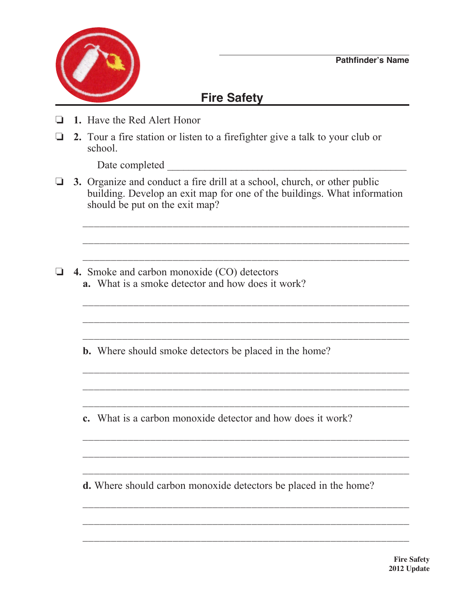

## **Fire Safety**

- o **1.** Have the Red Alert Honor
- □ 2. Tour a fire station or listen to a firefighter give a talk to your club or school.

Date completed  $\Box$ 

**3.** Organize and conduct a fire drill at a school, church, or other public building. Develop an exit map for one of the buildings. What information should be put on the exit map?

 $\overline{\phantom{a}}$  ,  $\overline{\phantom{a}}$  ,  $\overline{\phantom{a}}$  ,  $\overline{\phantom{a}}$  ,  $\overline{\phantom{a}}$  ,  $\overline{\phantom{a}}$  ,  $\overline{\phantom{a}}$  ,  $\overline{\phantom{a}}$  ,  $\overline{\phantom{a}}$  ,  $\overline{\phantom{a}}$  ,  $\overline{\phantom{a}}$  ,  $\overline{\phantom{a}}$  ,  $\overline{\phantom{a}}$  ,  $\overline{\phantom{a}}$  ,  $\overline{\phantom{a}}$  ,  $\overline{\phantom{a}}$ 

\_\_\_\_\_\_\_\_\_\_\_\_\_\_\_\_\_\_\_\_\_\_\_\_\_\_\_\_\_\_\_\_\_\_\_\_\_\_\_\_\_\_\_\_\_\_\_\_\_\_\_\_\_\_\_\_\_\_

 $\overline{\phantom{a}}$  ,  $\overline{\phantom{a}}$  ,  $\overline{\phantom{a}}$  ,  $\overline{\phantom{a}}$  ,  $\overline{\phantom{a}}$  ,  $\overline{\phantom{a}}$  ,  $\overline{\phantom{a}}$  ,  $\overline{\phantom{a}}$  ,  $\overline{\phantom{a}}$  ,  $\overline{\phantom{a}}$  ,  $\overline{\phantom{a}}$  ,  $\overline{\phantom{a}}$  ,  $\overline{\phantom{a}}$  ,  $\overline{\phantom{a}}$  ,  $\overline{\phantom{a}}$  ,  $\overline{\phantom{a}}$ 

 $\overline{\phantom{a}}$  ,  $\overline{\phantom{a}}$  ,  $\overline{\phantom{a}}$  ,  $\overline{\phantom{a}}$  ,  $\overline{\phantom{a}}$  ,  $\overline{\phantom{a}}$  ,  $\overline{\phantom{a}}$  ,  $\overline{\phantom{a}}$  ,  $\overline{\phantom{a}}$  ,  $\overline{\phantom{a}}$  ,  $\overline{\phantom{a}}$  ,  $\overline{\phantom{a}}$  ,  $\overline{\phantom{a}}$  ,  $\overline{\phantom{a}}$  ,  $\overline{\phantom{a}}$  ,  $\overline{\phantom{a}}$ 

 $\overline{\phantom{a}}$  ,  $\overline{\phantom{a}}$  ,  $\overline{\phantom{a}}$  ,  $\overline{\phantom{a}}$  ,  $\overline{\phantom{a}}$  ,  $\overline{\phantom{a}}$  ,  $\overline{\phantom{a}}$  ,  $\overline{\phantom{a}}$  ,  $\overline{\phantom{a}}$  ,  $\overline{\phantom{a}}$  ,  $\overline{\phantom{a}}$  ,  $\overline{\phantom{a}}$  ,  $\overline{\phantom{a}}$  ,  $\overline{\phantom{a}}$  ,  $\overline{\phantom{a}}$  ,  $\overline{\phantom{a}}$ 

 $\overline{\phantom{a}}$  ,  $\overline{\phantom{a}}$  ,  $\overline{\phantom{a}}$  ,  $\overline{\phantom{a}}$  ,  $\overline{\phantom{a}}$  ,  $\overline{\phantom{a}}$  ,  $\overline{\phantom{a}}$  ,  $\overline{\phantom{a}}$  ,  $\overline{\phantom{a}}$  ,  $\overline{\phantom{a}}$  ,  $\overline{\phantom{a}}$  ,  $\overline{\phantom{a}}$  ,  $\overline{\phantom{a}}$  ,  $\overline{\phantom{a}}$  ,  $\overline{\phantom{a}}$  ,  $\overline{\phantom{a}}$ 

\_\_\_\_\_\_\_\_\_\_\_\_\_\_\_\_\_\_\_\_\_\_\_\_\_\_\_\_\_\_\_\_\_\_\_\_\_\_\_\_\_\_\_\_\_\_\_\_\_\_\_\_\_\_\_\_\_\_

 $\overline{\phantom{a}}$  ,  $\overline{\phantom{a}}$  ,  $\overline{\phantom{a}}$  ,  $\overline{\phantom{a}}$  ,  $\overline{\phantom{a}}$  ,  $\overline{\phantom{a}}$  ,  $\overline{\phantom{a}}$  ,  $\overline{\phantom{a}}$  ,  $\overline{\phantom{a}}$  ,  $\overline{\phantom{a}}$  ,  $\overline{\phantom{a}}$  ,  $\overline{\phantom{a}}$  ,  $\overline{\phantom{a}}$  ,  $\overline{\phantom{a}}$  ,  $\overline{\phantom{a}}$  ,  $\overline{\phantom{a}}$ 

 $\overline{\phantom{a}}$  ,  $\overline{\phantom{a}}$  ,  $\overline{\phantom{a}}$  ,  $\overline{\phantom{a}}$  ,  $\overline{\phantom{a}}$  ,  $\overline{\phantom{a}}$  ,  $\overline{\phantom{a}}$  ,  $\overline{\phantom{a}}$  ,  $\overline{\phantom{a}}$  ,  $\overline{\phantom{a}}$  ,  $\overline{\phantom{a}}$  ,  $\overline{\phantom{a}}$  ,  $\overline{\phantom{a}}$  ,  $\overline{\phantom{a}}$  ,  $\overline{\phantom{a}}$  ,  $\overline{\phantom{a}}$ 

 $\overline{\phantom{a}}$  ,  $\overline{\phantom{a}}$  ,  $\overline{\phantom{a}}$  ,  $\overline{\phantom{a}}$  ,  $\overline{\phantom{a}}$  ,  $\overline{\phantom{a}}$  ,  $\overline{\phantom{a}}$  ,  $\overline{\phantom{a}}$  ,  $\overline{\phantom{a}}$  ,  $\overline{\phantom{a}}$  ,  $\overline{\phantom{a}}$  ,  $\overline{\phantom{a}}$  ,  $\overline{\phantom{a}}$  ,  $\overline{\phantom{a}}$  ,  $\overline{\phantom{a}}$  ,  $\overline{\phantom{a}}$ 

\_\_\_\_\_\_\_\_\_\_\_\_\_\_\_\_\_\_\_\_\_\_\_\_\_\_\_\_\_\_\_\_\_\_\_\_\_\_\_\_\_\_\_\_\_\_\_\_\_\_\_\_\_\_\_\_\_\_

 $\overline{\phantom{a}}$  ,  $\overline{\phantom{a}}$  ,  $\overline{\phantom{a}}$  ,  $\overline{\phantom{a}}$  ,  $\overline{\phantom{a}}$  ,  $\overline{\phantom{a}}$  ,  $\overline{\phantom{a}}$  ,  $\overline{\phantom{a}}$  ,  $\overline{\phantom{a}}$  ,  $\overline{\phantom{a}}$  ,  $\overline{\phantom{a}}$  ,  $\overline{\phantom{a}}$  ,  $\overline{\phantom{a}}$  ,  $\overline{\phantom{a}}$  ,  $\overline{\phantom{a}}$  ,  $\overline{\phantom{a}}$ 

\_\_\_\_\_\_\_\_\_\_\_\_\_\_\_\_\_\_\_\_\_\_\_\_\_\_\_\_\_\_\_\_\_\_\_\_\_\_\_\_\_\_\_\_\_\_\_\_\_\_\_\_\_\_\_\_\_\_

\_\_\_\_\_\_\_\_\_\_\_\_\_\_\_\_\_\_\_\_\_\_\_\_\_\_\_\_\_\_\_\_\_\_\_\_\_\_\_\_\_\_\_\_\_\_\_\_\_\_\_\_\_\_\_\_\_\_

- o **4.** Smoke and carbon monoxide (CO) detectors **a.** What is a smoke detector and how does it work?
	- **b.** Where should smoke detectors be placed in the home?
	- **c.** What is a carbon monoxide detector and how does it work?

**d.** Where should carbon monoxide detectors be placed in the home?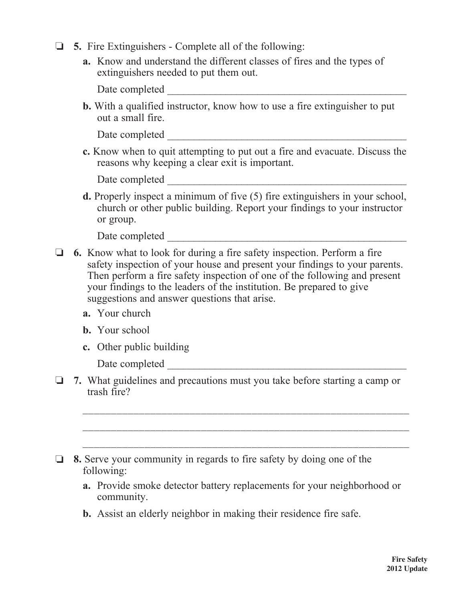- o **5.** Fire Extinguishers Complete all of the following:
	- **a.** Know and understand the different classes of fires and the types of extinguishers needed to put them out.

Date completed \_\_\_\_\_\_\_\_\_\_\_\_\_\_\_\_\_\_\_\_\_\_\_\_\_\_\_\_\_\_\_\_\_\_\_\_\_\_\_\_\_\_\_\_\_

 **b.** With a qualified instructor, know how to use a fire extinguisher to put out a small fire.

Date completed  $\Box$ 

 **c.** Know when to quit attempting to put out a fire and evacuate. Discuss the reasons why keeping a clear exit is important.

| Date completed |  |  |  |  |
|----------------|--|--|--|--|
|                |  |  |  |  |

 **d.** Properly inspect a minimum of five (5) fire extinguishers in your school, church or other public building. Report your findings to your instructor or group.

Date completed  $\Box$ 

- o **6.** Know what to look for during a fire safety inspection. Perform a fire safety inspection of your house and present your findings to your parents. Then perform a fire safety inspection of one of the following and present your findings to the leaders of the institution. Be prepared to give suggestions and answer questions that arise.
	- **a.** Your church
	- **b.** Your school
	- **c.** Other public building

Date completed \_\_\_\_\_\_\_\_\_\_\_\_\_\_\_\_\_\_\_\_\_\_\_\_\_\_\_\_\_\_\_\_\_\_\_\_\_\_\_\_\_\_\_\_\_

o **7.** What guidelines and precautions must you take before starting a camp or trash fire?

 $\overline{\phantom{a}}$  ,  $\overline{\phantom{a}}$  ,  $\overline{\phantom{a}}$  ,  $\overline{\phantom{a}}$  ,  $\overline{\phantom{a}}$  ,  $\overline{\phantom{a}}$  ,  $\overline{\phantom{a}}$  ,  $\overline{\phantom{a}}$  ,  $\overline{\phantom{a}}$  ,  $\overline{\phantom{a}}$  ,  $\overline{\phantom{a}}$  ,  $\overline{\phantom{a}}$  ,  $\overline{\phantom{a}}$  ,  $\overline{\phantom{a}}$  ,  $\overline{\phantom{a}}$  ,  $\overline{\phantom{a}}$ 

 $\overline{\phantom{a}}$  ,  $\overline{\phantom{a}}$  ,  $\overline{\phantom{a}}$  ,  $\overline{\phantom{a}}$  ,  $\overline{\phantom{a}}$  ,  $\overline{\phantom{a}}$  ,  $\overline{\phantom{a}}$  ,  $\overline{\phantom{a}}$  ,  $\overline{\phantom{a}}$  ,  $\overline{\phantom{a}}$  ,  $\overline{\phantom{a}}$  ,  $\overline{\phantom{a}}$  ,  $\overline{\phantom{a}}$  ,  $\overline{\phantom{a}}$  ,  $\overline{\phantom{a}}$  ,  $\overline{\phantom{a}}$ 

 $\overline{\phantom{a}}$  ,  $\overline{\phantom{a}}$  ,  $\overline{\phantom{a}}$  ,  $\overline{\phantom{a}}$  ,  $\overline{\phantom{a}}$  ,  $\overline{\phantom{a}}$  ,  $\overline{\phantom{a}}$  ,  $\overline{\phantom{a}}$  ,  $\overline{\phantom{a}}$  ,  $\overline{\phantom{a}}$  ,  $\overline{\phantom{a}}$  ,  $\overline{\phantom{a}}$  ,  $\overline{\phantom{a}}$  ,  $\overline{\phantom{a}}$  ,  $\overline{\phantom{a}}$  ,  $\overline{\phantom{a}}$ 

- $\Box$  **8.** Serve your community in regards to fire safety by doing one of the following:
	- **a.** Provide smoke detector battery replacements for your neighborhood or community.
	- **b.** Assist an elderly neighbor in making their residence fire safe.